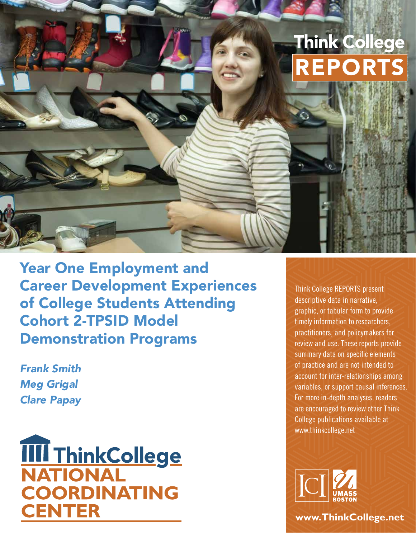# Think College REPORTS

Year One Employment and Career Development Experiences of College Students Attending Cohort 2-TPSID Model Demonstration Programs

*Frank Smith Meg Grigal Clare Papay* 



Think College REPORTS present descriptive data in narrative, graphic, or tabular form to provide timely information to researchers, practitioners, and policymakers for review and use. These reports provide summary data on specific elements of practice and are not intended to account for inter-relationships among variables, or support causal inferences. For more in-depth analyses, readers are encouraged to review other Think College publications available at [www.thinkcollege.net](http://www.thinkcollege.net) 



**[www.ThinkCollege.net](http://www.ThinkCollege.net)**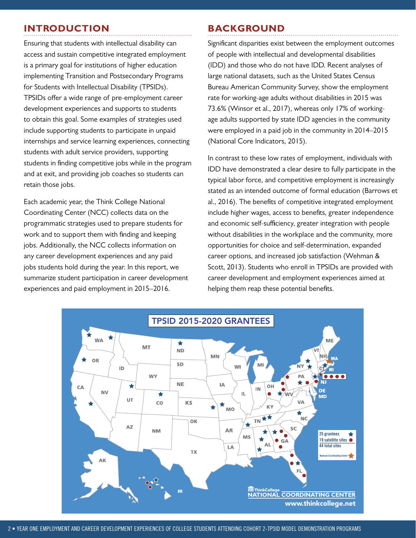# **INTRODUCTION BACKGROUND**

Ensuring that students with intellectual disability can access and sustain competitive integrated employment is a primary goal for institutions of higher education implementing Transition and Postsecondary Programs for Students with Intellectual Disability (TPSIDs). TPSIDs offer a wide range of pre-employment career development experiences and supports to students to obtain this goal. Some examples of strategies used include supporting students to participate in unpaid internships and service learning experiences, connecting students with adult service providers, supporting students in finding competitive jobs while in the program and at exit, and providing job coaches so students can retain those jobs.

Each academic year, the Think College National Coordinating Center (NCC) collects data on the programmatic strategies used to prepare students for work and to support them with finding and keeping jobs. Additionally, the NCC collects information on any career development experiences and any paid jobs students hold during the year. In this report, we summarize student participation in career development experiences and paid employment in 2015–2016.

Significant disparities exist between the employment outcomes of people with intellectual and developmental disabilities (IDD) and those who do not have IDD. Recent analyses of large national datasets, such as the United States Census Bureau American Community Survey, show the employment rate for working-age adults without disabilities in 2015 was 73.6% (Winsor et al., 2017), whereas only 17% of workingage adults supported by state IDD agencies in the community were employed in a paid job in the community in 2014–2015 (National Core Indicators, 2015).

In contrast to these low rates of employment, individuals with IDD have demonstrated a clear desire to fully participate in the typical labor force, and competitive employment is increasingly stated as an intended outcome of formal education (Barrows et al., 2016). The benefits of competitive integrated employment include higher wages, access to benefits, greater independence and economic self-sufficiency, greater integration with people without disabilities in the workplace and the community, more opportunities for choice and self-determination, expanded career options, and increased job satisfaction (Wehman & Scott, 2013). Students who enroll in TPSIDs are provided with career development and employment experiences aimed at helping them reap these potential benefits.

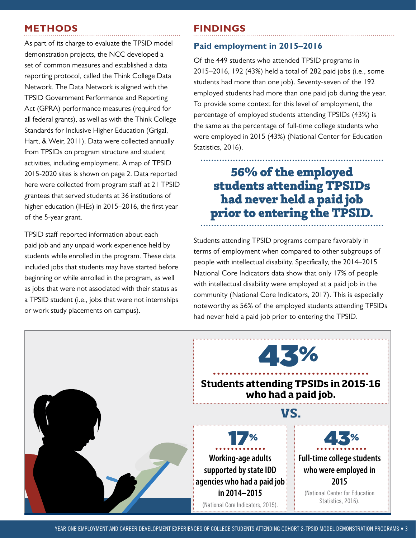# **METHODS FINDINGS**

As part of its charge to evaluate the TPSID model demonstration projects, the NCC developed a set of common measures and established a data reporting protocol, called the Think College Data Network. The Data Network is aligned with the TPSID Government Performance and Reporting Act (GPRA) performance measures (required for all federal grants), as well as with the Think College Standards for Inclusive Higher Education (Grigal, Hart, & Weir, 2011). Data were collected annually from TPSIDs on program structure and student activities, including employment. A map of TPSID 2015-2020 sites is shown on page 2. Data reported here were collected from program staff at 21 TPSID grantees that served students at 36 institutions of higher education (IHEs) in 2015–2016, the first year of the 5-year grant.

TPSID staff reported information about each paid job and any unpaid work experience held by students while enrolled in the program. These data included jobs that students may have started before beginning or while enrolled in the program, as well as jobs that were not associated with their status as a TPSID student (i.e., jobs that were not internships or work study placements on campus).

#### **Paid employment in 2015–2016**

Of the 449 students who attended TPSID programs in 2015–2016, 192 (43%) held a total of 282 paid jobs (i.e., some students had more than one job). Seventy-seven of the 192 employed students had more than one paid job during the year. To provide some context for this level of employment, the percentage of employed students attending TPSIDs (43%) is the same as the percentage of full-time college students who were employed in 2015 (43%) (National Center for Education Statistics, 2016).

# **56% of the employed students attending TPSIDs had never held a paid job prior to entering the TPSID.**

Students attending TPSID programs compare favorably in terms of employment when compared to other subgroups of people with intellectual disability. Specifically, the 2014–2015 National Core Indicators data show that only 17% of people with intellectual disability were employed at a paid job in the community (National Core Indicators, 2017). This is especially noteworthy as 56% of the employed students attending TPSIDs had never held a paid job prior to entering the TPSID.

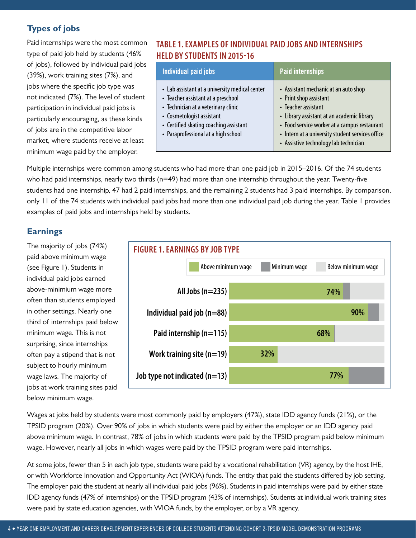### **Types of jobs**

Paid internships were the most common type of paid job held by students (46% of jobs), followed by individual paid jobs (39%), work training sites (7%), and jobs where the specific job type was not indicated (7%). The level of student participation in individual paid jobs is particularly encouraging, as these kinds of jobs are in the competitive labor market, where students receive at least minimum wage paid by the employer.

### **TABLE 1. EXAMPLES OF INDIVIDUAL PAID JOBS AND INTERNSHIPS HELD BY STUDENTS IN 2015-16**

| Individual paid jobs                                                                                                                                                                                                                      | <b>Paid internships</b>                                                                                                                                                                                                                                                          |
|-------------------------------------------------------------------------------------------------------------------------------------------------------------------------------------------------------------------------------------------|----------------------------------------------------------------------------------------------------------------------------------------------------------------------------------------------------------------------------------------------------------------------------------|
| • Lab assistant at a university medical center<br>• Teacher assistant at a preschool<br>• Technician at a veterinary clinic<br>• Cosmetologist assistant<br>• Certified skating coaching assistant<br>• Paraprofessional at a high school | • Assistant mechanic at an auto shop<br>• Print shop assistant<br>• Teacher assistant<br>• Library assistant at an academic library<br>• Food service worker at a campus restaurant<br>• Intern at a university student services office<br>• Assistive technology lab technician |

Multiple internships were common among students who had more than one paid job in 2015–2016. Of the 74 students who had paid internships, nearly two thirds (n=49) had more than one internship throughout the year. Twenty-five students had one internship, 47 had 2 paid internships, and the remaining 2 students had 3 paid internships. By comparison, only 11 of the 74 students with individual paid jobs had more than one individual paid job during the year. Table 1 provides examples of paid jobs and internships held by students.

#### **Earnings**

The majority of jobs (74%) paid above minimum wage (see Figure 1). Students in individual paid jobs earned above-minimium wage more often than students employed in other settings. Nearly one third of internships paid below minimum wage. This is not surprising, since internships often pay a stipend that is not subject to hourly minimum wage laws. The majority of jobs at work training sites paid below minimum wage.



Wages at jobs held by students were most commonly paid by employers (47%), state IDD agency funds (21%), or the TPSID program (20%). Over 90% of jobs in which students were paid by either the employer or an IDD agency paid above minimum wage. In contrast, 78% of jobs in which students were paid by the TPSID program paid below minimum wage. However, nearly all jobs in which wages were paid by the TPSID program were paid internships.

At some jobs, fewer than 5 in each job type, students were paid by a vocational rehabilitation (VR) agency, by the host IHE, or with Workforce Innovation and Opportunity Act (WIOA) funds. The entity that paid the students differed by job setting. The employer paid the student at nearly all individual paid jobs (96%). Students in paid internships were paid by either state IDD agency funds (47% of internships) or the TPSID program (43% of internships). Students at individual work training sites were paid by state education agencies, with WIOA funds, by the employer, or by a VR agency.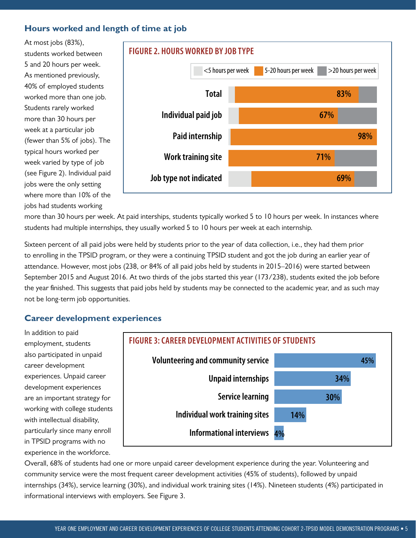#### **Hours worked and length of time at job**

At most jobs (83%), students worked between 5 and 20 hours per week. As mentioned previously, 40% of employed students worked more than one job. Students rarely worked more than 30 hours per week at a particular job (fewer than 5% of jobs). The typical hours worked per week varied by type of job (see Figure 2). Individual paid jobs were the only setting where more than 10% of the jobs had students working



more than 30 hours per week. At paid interships, students typically worked 5 to 10 hours per week. In instances where students had multiple internships, they usually worked 5 to 10 hours per week at each internship.

Sixteen percent of all paid jobs were held by students prior to the year of data collection, i.e., they had them prior to enrolling in the TPSID program, or they were a continuing TPSID student and got the job during an earlier year of attendance. However, most jobs (238, or 84% of all paid jobs held by students in 2015–2016) were started between September 2015 and August 2016. At two thirds of the jobs started this year (173/238), students exited the job before the year finished. This suggests that paid jobs held by students may be connected to the academic year, and as such may not be long-term job opportunities.

#### **Career development experiences**

In addition to paid also participated in unpaid career development experiences. Unpaid career development experiences are an important strategy for working with college students with intellectual disability, in TPSID programs with no experience in the workforce.



Overall, 68% of students had one or more unpaid career development experience during the year. Volunteering and community service were the most frequent career development activities (45% of students), followed by unpaid internships (34%), service learning (30%), and individual work training sites (14%). Nineteen students (4%) participated in informational interviews with employers. See Figure 3.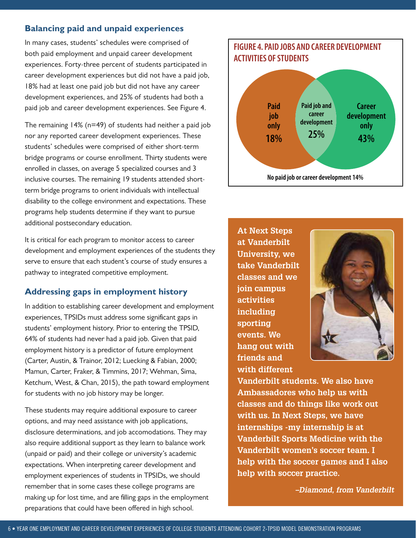#### **Balancing paid and unpaid experiences**

In many cases, students' schedules were comprised of both paid employment and unpaid career development experiences. Forty-three percent of students participated in career development experiences but did not have a paid job, 18% had at least one paid job but did not have any career development experiences, and 25% of students had both a paid job and career development experiences. See Figure 4.

 bridge programs or course enrollment. Thirty students were The remaining 14% (n=49) of students had neither a paid job nor any reported career development experiences. These students' schedules were comprised of either short-term enrolled in classes, on average 5 specialized courses and 3 inclusive courses. The remaining 19 students attended shortterm bridge programs to orient individuals with intellectual disability to the college environment and expectations. These programs help students determine if they want to pursue additional postsecondary education.

It is critical for each program to monitor access to career development and employment experiences of the students they serve to ensure that each student's course of study ensures a pathway to integrated competitive employment.

#### **Addressing gaps in employment history**

In addition to establishing career development and employment experiences, TPSIDs must address some significant gaps in students' employment history. Prior to entering the TPSID, 64% of students had never had a paid job. Given that paid employment history is a predictor of future employment (Carter, Austin, & Trainor, 2012; Luecking & Fabian, 2000; Mamun, Carter, Fraker, & Timmins, 2017; Wehman, Sima, Ketchum, West, & Chan, 2015), the path toward employment for students with no job history may be longer.

These students may require additional exposure to career options, and may need assistance with job applications, disclosure determinations, and job accomodations. They may also require additional support as they learn to balance work (unpaid or paid) and their college or university's academic expectations. When interpreting career development and employment experiences of students in TPSIDs, we should remember that in some cases these college programs are making up for lost time, and are filling gaps in the employment preparations that could have been offered in high school.



**No paid job or career development 14%** 

**At Next Steps at Vanderbilt University, we take Vanderbilt classes and we join campus activities including sporting events. We hang out with friends and with different** 



**Vanderbilt students. We also have Ambassadores who help us with classes and do things like work out with us. In Next Steps, we have internships -my internship is at Vanderbilt Sports Medicine with the Vanderbilt women's soccer team. I help with the soccer games and I also help with soccer practice.** 

*–Diamond, from Vanderbilt*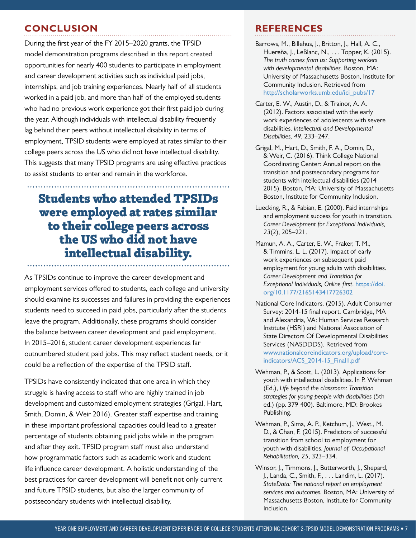## **CONCLUSION REFERENCES**

During the first year of the FY 2015–2020 grants, the TPSID model demonstration programs described in this report created opportunities for nearly 400 students to participate in employment and career development activities such as individual paid jobs, internships, and job training experiences. Nearly half of all students worked in a paid job, and more than half of the employed students who had no previous work experience got their first paid job during the year. Although individuals with intellectual disability frequently lag behind their peers without intellectual disability in terms of employment, TPSID students were employed at rates similar to their college peers across the US who did not have intellectual disability. This suggests that many TPSID programs are using effective practices to assist students to enter and remain in the workforce.

# **Students who attended TPSIDs were employed at rates similar to their college peers across the US who did not have intellectual disability.**

As TPSIDs continue to improve the career development and employment services offered to students, each college and university should examine its successes and failures in providing the experiences students need to succeed in paid jobs, particularly after the students leave the program. Additionally, these programs should consider the balance between career development and paid employment. In 2015–2016, student career development experiences far outnumbered student paid jobs. This may reflect student needs, or it could be a reflection of the expertise of the TPSID staff.

TPSIDs have consistently indicated that one area in which they struggle is having access to staff who are highly trained in job development and customized employment strategies (Grigal, Hart, Smith, Domin, & Weir 2016). Greater staff expertise and training in these important professional capacities could lead to a greater percentage of students obtaining paid jobs while in the program and after they exit. TPSID program staff must also understand how programmatic factors such as academic work and student life influence career development. A holistic understanding of the best practices for career development will benefit not only current and future TPSID students, but also the larger community of postsecondary students with intellectual disability.

- Barrows, M., Billehus, J., Britton, J., Hall, A. C., Huereña, J., LeBlanc, N., . . . Topper, K. (2015). *The truth comes from us: Supporting workers with developmental disabilities.* Boston, MA: University of Massachusetts Boston, Institute for Community Inclusion. Retrieved from [http://scholarworks.umb.edu/ici\\_pubs/17](http://scholarworks.umb.edu/ici_pubs/17)
- Carter, E. W., Austin, D., & Trainor, A. A. (2012). Factors associated with the early work experiences of adolescents with severe disabilities. *Intellectual and Developmental Disabilities, 49*, 233–247.
- Grigal, M., Hart, D., Smith, F. A., Domin, D., & Weir, C. (2016). Think College National Coordinating Center: Annual report on the transition and postsecondary programs for students with intellectual disabilities (2014– 2015). Boston, MA: University of Massachusetts Boston, Institute for Community Inclusion.
- Luecking, R., & Fabian, E. (2000). Paid internships and employment success for youth in transition. *Career Development for Exceptional Individuals, 23*(2), 205–221.
- Mamun, A. A., Carter, E. W., Fraker, T. M., & Timmins, L. L. (2017). Impact of early work experiences on subsequent paid employment for young adults with disabilities. *Career Development and Transition for Exceptional Individuals, Online first*. [https://doi.](https://doi.org/10.1177/2165143417726302) [org/10.1177/2165143417726302](https://doi.org/10.1177/2165143417726302)
- National Core Indicators. (2015). Adult Consumer Survey: 2014-15 final report. Cambridge, MA and Alexandria, VA: Human Services Research Institute (HSRI) and National Association of State Directors Of Developmental Disabilities Services (NASDDDS). Retrieved from [www.nationalcoreindicators.org/upload/core](http://www.nationalcoreindicators.org/upload/core-indicators/ACS_2014-15_Final1.pdf)[indicators/ACS\\_2014-15\\_Final1.pdf](http://www.nationalcoreindicators.org/upload/core-indicators/ACS_2014-15_Final1.pdf)
- Wehman, P., & Scott, L. (2013). Applications for youth with intellectual disabilities. In P. Wehman (Ed.), *Life beyond the classroom: Transition strategies for young people with disabilities* (5th ed.) (pp. 379-400). Baltimore, MD: Brookes Publishing.
- Wehman, P., Sima, A. P., Ketchum, J., West., M. D., & Chan, F. (2015). Predictors of successful transition from school to employment for youth with disabilities. *Journal of Occupational Rehabilitation, 25*, 323–334.
- Winsor, J., Timmons, J., Butterworth, J., Shepard, J., Landa, C., Smith, F., . . . Landim, L. (2017). *StateData: The national report on employment services and outcomes.* Boston, MA: University of Massachusetts Boston, Institute for Community Inclusion.